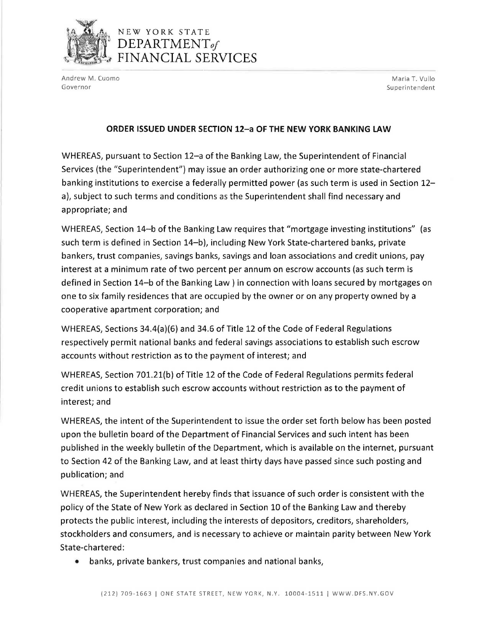

## NEW YORK STATE DEPARTMENT*of*  FINANCIAL SERVICES

Andrew M. Cuomo **Maria T. Vullo** Maria T. Vullo Governor **Superintendent** Superintendent Superintendent Superintendent Superintendent Superintendent Superintendent

## **ORDER ISSUED UNDER SECTION 12-a OF THE NEW YORK BANKING LAW**

WHEREAS, pursuant to Section 12-a of the Banking Law, the Superintendent of Financial Services (the "Superintendent") may issue an order authorizing one or more state-chartered banking institutions to exercise a federally permitted power (as such term is used in Section 12 a), subject to such terms and conditions as the Superintendent shall find necessary and appropriate; and

WHEREAS, Section 14-b of the Banking Law requires that "mortgage investing institutions" (as such term is defined in Section 14-b), including New York State-chartered banks, private bankers, trust companies, savings banks, savings and loan associations and credit unions, pay interest at a minimum rate of two percent per annum on escrow accounts (as such term is defined in Section 14-b of the Banking Law) in connection with loans secured by mortgages on one to six family residences that are occupied by the owner or on any property owned by a cooperative apartment corporation; and

WHEREAS, Sections 34.4(a)(6) and 34.6 of Title 12 of the Code of Federal Regulations respectively permit national banks and federal savings associations to establish such escrow accounts without restriction as to the payment of interest; and

WHEREAS, Section 701.21(b) of Title 12 of the Code of Federal Regulations permits federal credit unions to establish such escrow accounts without restriction as to the payment of interest; and

WHEREAS, the intent of the Superintendent to issue the order set forth below has been posted upon the bulletin board of the Department of Financial Services and such intent has been published in the weekly bulletin of the Department, which is available on the internet, pursuant to Section 42 of the Banking Law, and at least thirty days have passed since such posting and publication; and

WHEREAS, the Superintendent hereby finds that issuance of such order is consistent with the policy of the State of New York as declared in Section 10 of the Banking Law and thereby protects the public interest, including the interests of depositors, creditors, shareholders, stockholders and consumers, and is necessary to achieve or maintain parity between New York State-chartered:

• banks, private bankers, trust companies and national banks,